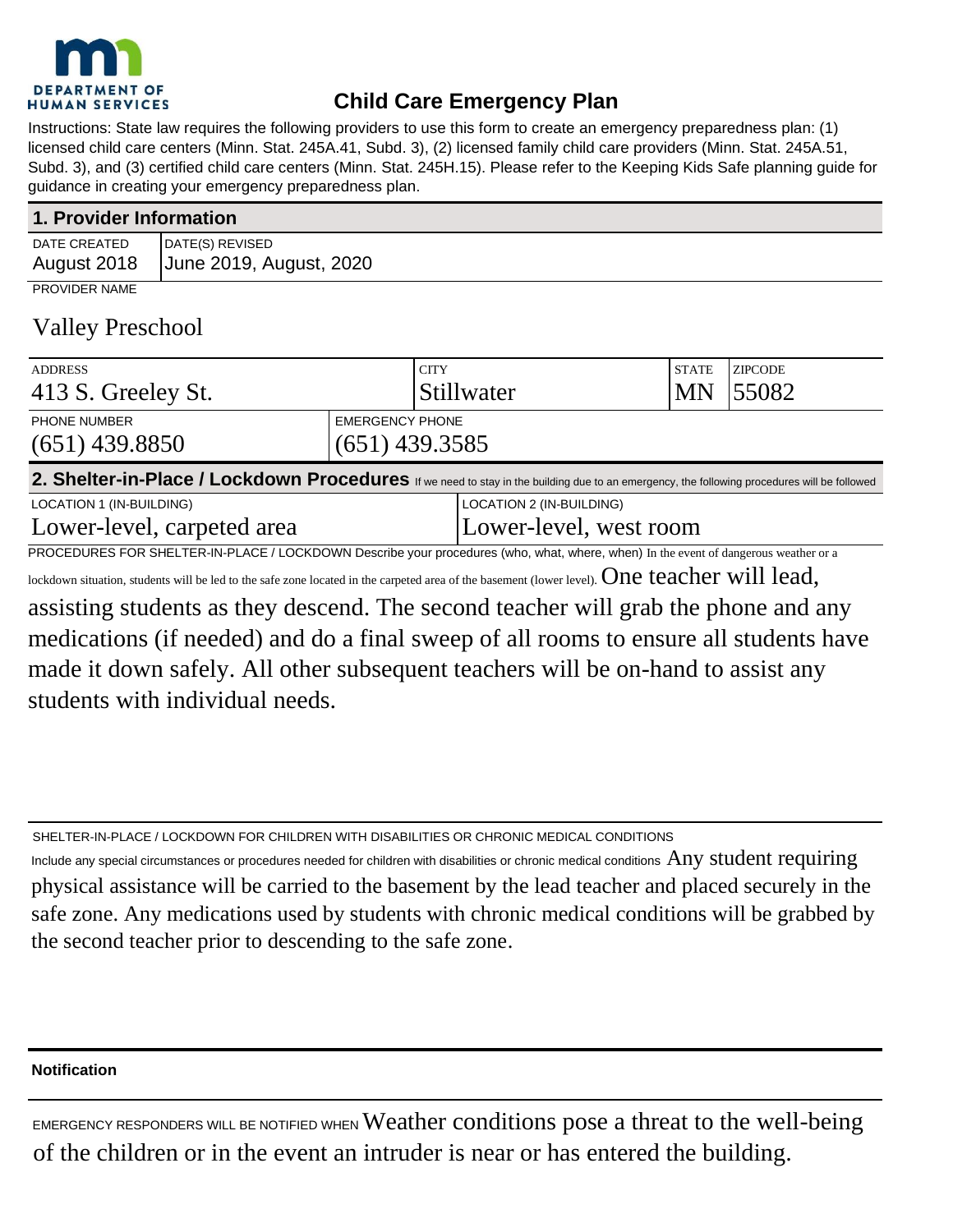

# **Child Care Emergency Plan**

Instructions: State law requires the following providers to use this form to create an emergency preparedness plan: (1) licensed child care centers (Minn. Stat. 245A.41, Subd. 3), (2) licensed family child care providers (Minn. Stat. 245A.51, Subd. 3), and (3) certified child care centers (Minn. Stat. 245H.15). Please refer to the Keeping Kids Safe planning guide for guidance in creating your emergency preparedness plan.

| 1. Provider Information     |                                            |  |
|-----------------------------|--------------------------------------------|--|
| DATE CREATED<br>August 2018 | DATE(S) REVISED<br>June 2019, August, 2020 |  |
| <b>PROVIDER NAME</b>        |                                            |  |

# Valley Preschool

| <b>ADDRESS</b>                                                                                                                                        |                  | <b>CITY</b>            |                          | <b>STATE</b> | <b>ZIPCODE</b> |
|-------------------------------------------------------------------------------------------------------------------------------------------------------|------------------|------------------------|--------------------------|--------------|----------------|
| 413 S. Greeley St.                                                                                                                                    |                  |                        | Stillwater               | <b>MN</b>    | 55082          |
| <b>EMERGENCY PHONE</b><br><b>PHONE NUMBER</b>                                                                                                         |                  |                        |                          |              |                |
| $(651)$ 439.8850                                                                                                                                      | $(651)$ 439.3585 |                        |                          |              |                |
| 2. Shelter-in-Place / Lockdown Procedures If we need to stay in the building due to an emergency, the following procedures will be followed           |                  |                        |                          |              |                |
| LOCATION 1 (IN-BUILDING)                                                                                                                              |                  |                        | LOCATION 2 (IN-BUILDING) |              |                |
| Lower-level, carpeted area                                                                                                                            |                  | Lower-level, west room |                          |              |                |
| PROCEDURES FOR SHELTER-IN-PLACE / LOCKDOWN Describe your procedures (who, what, where, when) In the event of dangerous weather or a                   |                  |                        |                          |              |                |
| lockdown situation, students will be led to the safe zone located in the carpeted area of the basement (lower level). $\emph{One teacher will lead,}$ |                  |                        |                          |              |                |

assisting students as they descend. The second teacher will grab the phone and any medications (if needed) and do a final sweep of all rooms to ensure all students have made it down safely. All other subsequent teachers will be on-hand to assist any students with individual needs.

SHELTER-IN-PLACE / LOCKDOWN FOR CHILDREN WITH DISABILITIES OR CHRONIC MEDICAL CONDITIONS

Include any special circumstances or procedures needed for children with disabilities or chronic medical conditions  $\rm Any$  student requiring physical assistance will be carried to the basement by the lead teacher and placed securely in the safe zone. Any medications used by students with chronic medical conditions will be grabbed by the second teacher prior to descending to the safe zone.

### **Notification**

EMERGENCY RESPONDERS WILL BE NOTIFIED WHEN Weather conditions pose a threat to the well-being of the children or in the event an intruder is near or has entered the building.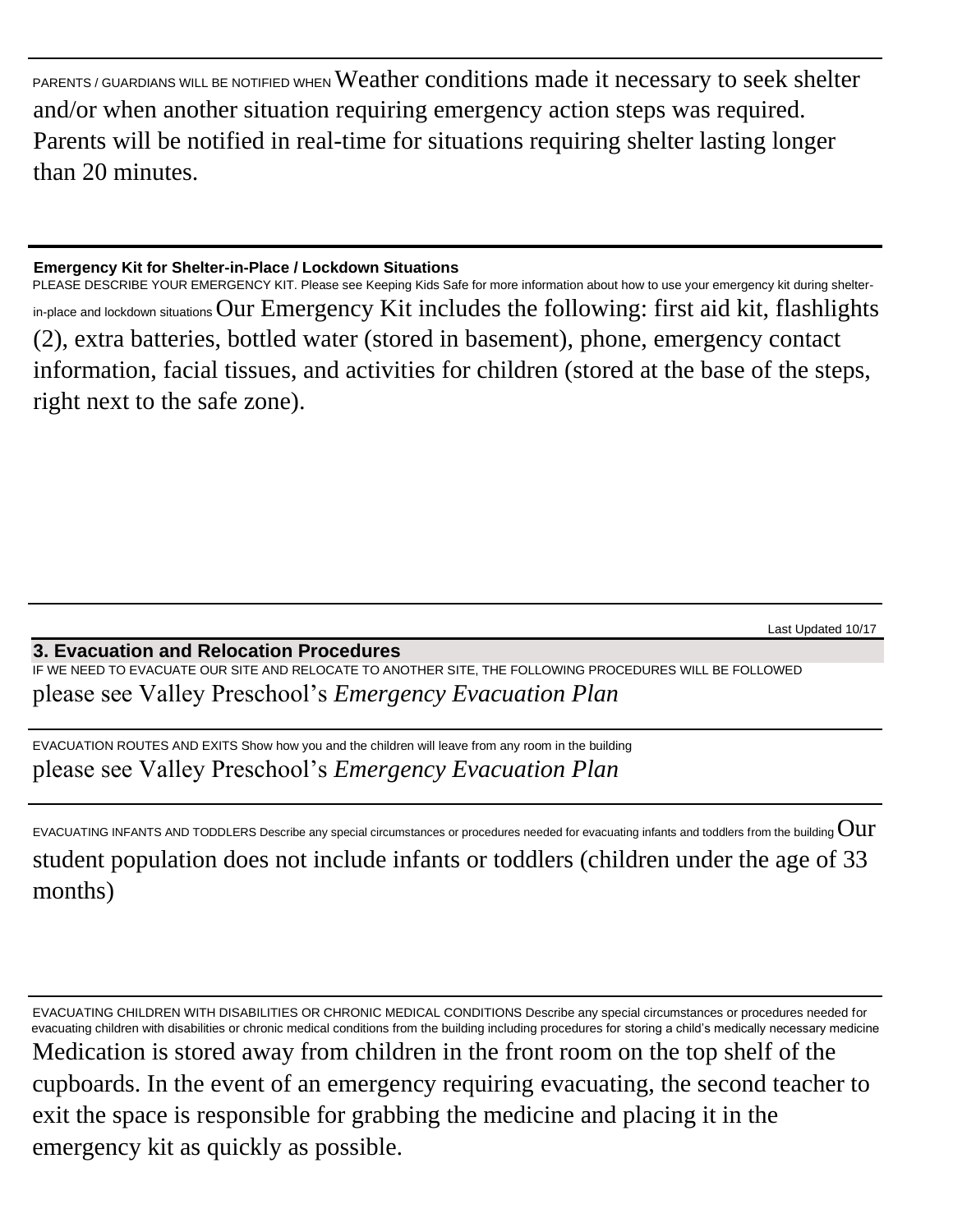PARENTS / GUARDIANS WILL BE NOTIFIED WHEN Weather conditions made it necessary to seek shelter and/or when another situation requiring emergency action steps was required. Parents will be notified in real-time for situations requiring shelter lasting longer than 20 minutes.

#### **Emergency Kit for Shelter-in-Place / Lockdown Situations**

PLEASE DESCRIBE YOUR EMERGENCY KIT. Please see Keeping Kids Safe for more information about how to use your emergency kit during shelterin-place and lockdown situationsOur Emergency Kit includes the following: first aid kit, flashlights (2), extra batteries, bottled water (stored in basement), phone, emergency contact information, facial tissues, and activities for children (stored at the base of the steps, right next to the safe zone).

Last Updated 10/17

### **3. Evacuation and Relocation Procedures**

IF WE NEED TO EVACUATE OUR SITE AND RELOCATE TO ANOTHER SITE, THE FOLLOWING PROCEDURES WILL BE FOLLOWED please see Valley Preschool's *Emergency Evacuation Plan*

EVACUATION ROUTES AND EXITS Show how you and the children will leave from any room in the building please see Valley Preschool's *Emergency Evacuation Plan*

EVACUATING INFANTS AND TODDLERS Describe any special circumstances or procedures needed for evacuating infants and toddlers from the building  $\rm{Out}$ student population does not include infants or toddlers (children under the age of 33 months)

EVACUATING CHILDREN WITH DISABILITIES OR CHRONIC MEDICAL CONDITIONS Describe any special circumstances or procedures needed for evacuating children with disabilities or chronic medical conditions from the building including procedures for storing a child's medically necessary medicine

Medication is stored away from children in the front room on the top shelf of the cupboards. In the event of an emergency requiring evacuating, the second teacher to exit the space is responsible for grabbing the medicine and placing it in the emergency kit as quickly as possible.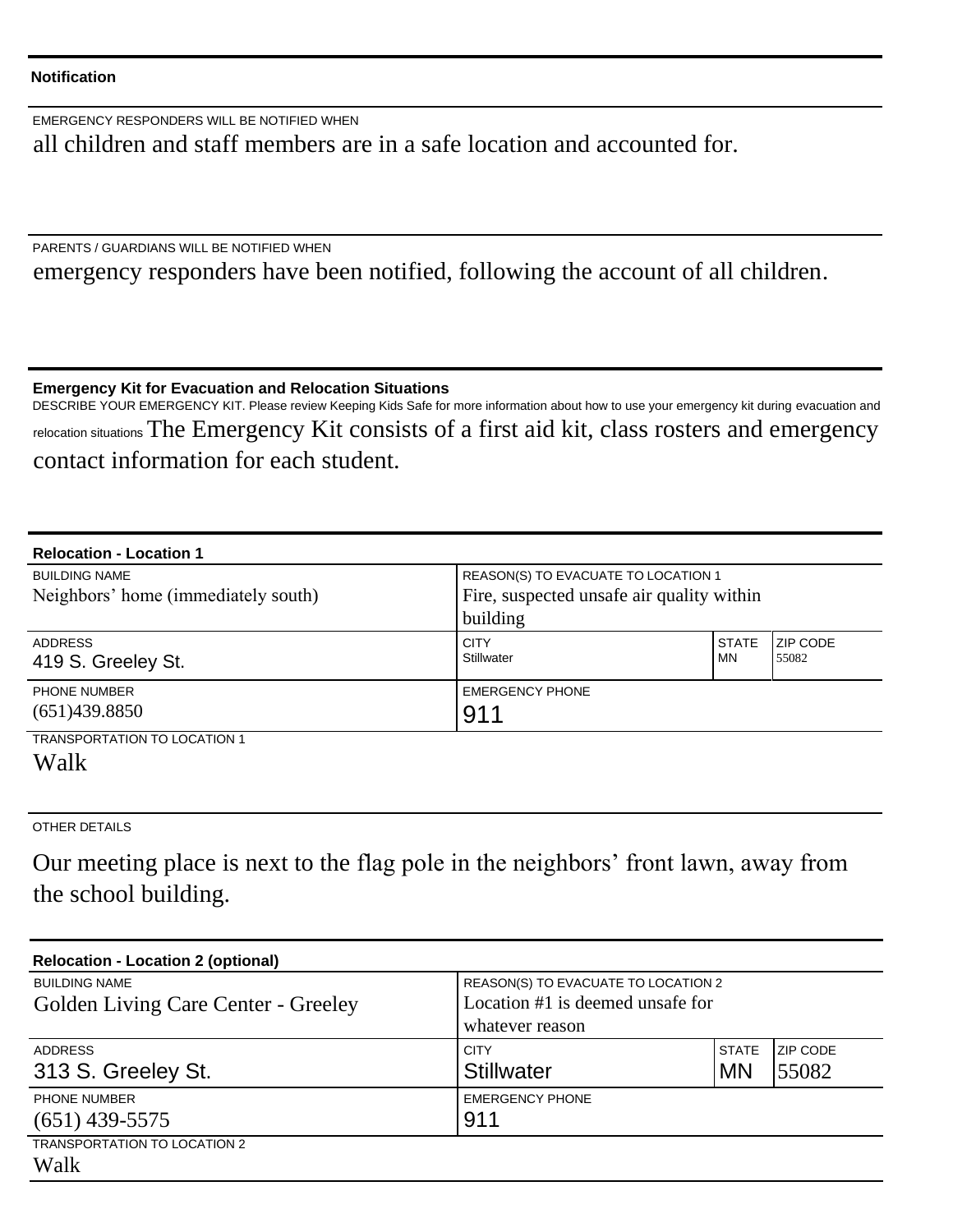#### **Notification**

EMERGENCY RESPONDERS WILL BE NOTIFIED WHEN all children and staff members are in a safe location and accounted for.

PARENTS / GUARDIANS WILL BE NOTIFIED WHEN

emergency responders have been notified, following the account of all children.

**Emergency Kit for Evacuation and Relocation Situations** 

DESCRIBE YOUR EMERGENCY KIT. Please review Keeping Kids Safe for more information about how to use your emergency kit during evacuation and relocation situations The Emergency Kit consists of a first aid kit, class rosters and emergency contact information for each student.

| <b>Relocation - Location 1</b>                              |                                                                                              |                           |                          |
|-------------------------------------------------------------|----------------------------------------------------------------------------------------------|---------------------------|--------------------------|
| <b>BUILDING NAME</b><br>Neighbors' home (immediately south) | REASON(S) TO EVACUATE TO LOCATION 1<br>Fire, suspected unsafe air quality within<br>building |                           |                          |
| <b>ADDRESS</b><br>419 S. Greeley St.                        | <b>CITY</b><br>Stillwater                                                                    | <b>STATE</b><br><b>MN</b> | <b>ZIP CODE</b><br>55082 |
| <b>PHONE NUMBER</b><br>(651)439.8850                        | <b>EMERGENCY PHONE</b><br>911                                                                |                           |                          |
| <b>TRANSPORTATION TO LOCATION 1</b><br>Walk                 |                                                                                              |                           |                          |

OTHER DETAILS

Our meeting place is next to the flag pole in the neighbors' front lawn, away from the school building.

| <b>Relocation - Location 2 (optional)</b>  |                                     |              |                 |
|--------------------------------------------|-------------------------------------|--------------|-----------------|
| <b>BUILDING NAME</b>                       | REASON(S) TO EVACUATE TO LOCATION 2 |              |                 |
| <b>Golden Living Care Center - Greeley</b> | Location #1 is deemed unsafe for    |              |                 |
|                                            | whatever reason                     |              |                 |
| <b>ADDRESS</b>                             | <b>CITY</b>                         | <b>STATE</b> | <b>ZIP CODE</b> |
| 313 S. Greeley St.                         | <b>Stillwater</b>                   | <b>MN</b>    | 55082           |
| <b>PHONE NUMBER</b>                        | <b>EMERGENCY PHONE</b>              |              |                 |
| $(651)$ 439-5575                           | 911                                 |              |                 |
| <b>TRANSPORTATION TO LOCATION 2</b>        |                                     |              |                 |
| Walk                                       |                                     |              |                 |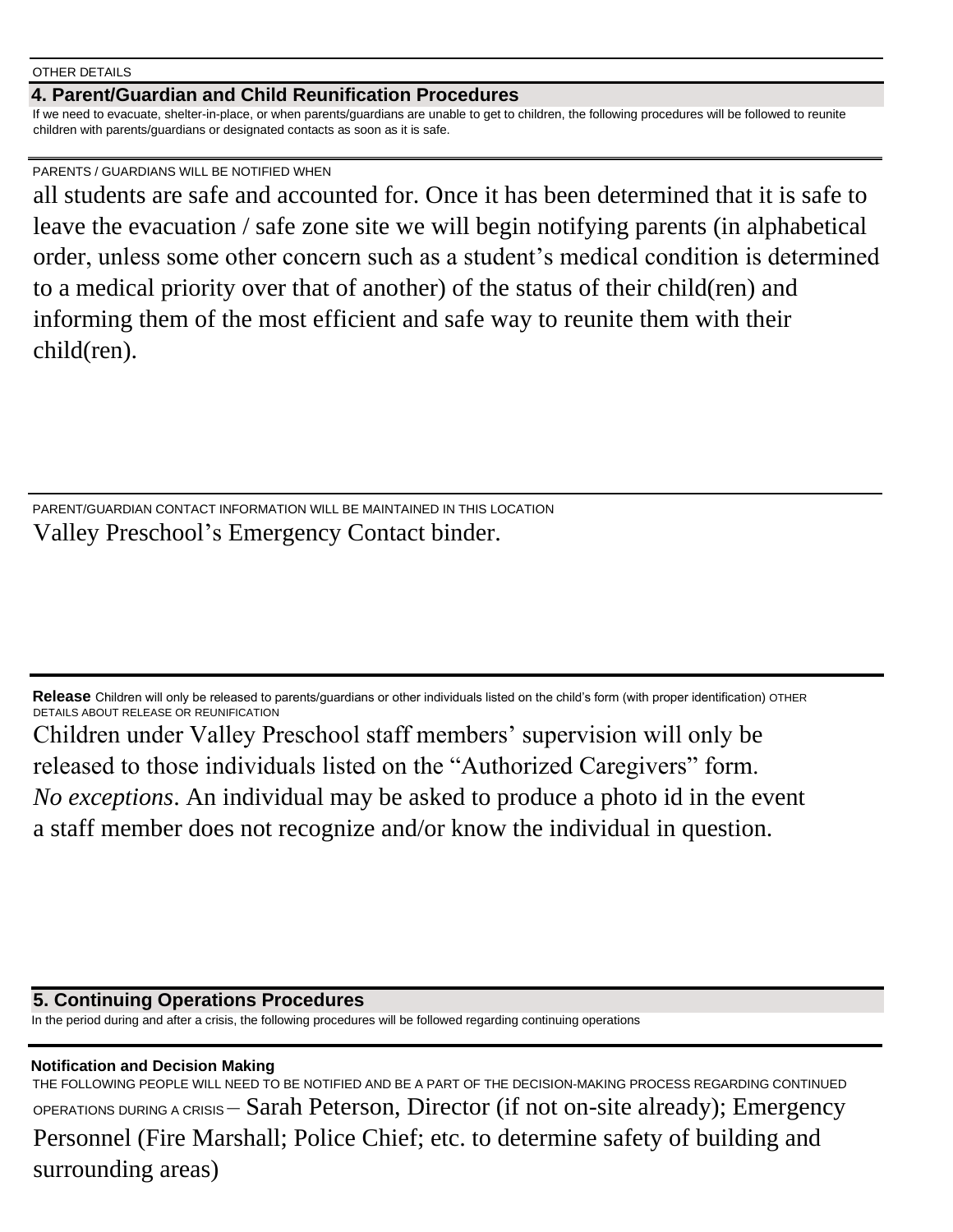OTHER DETAILS

#### **4. Parent/Guardian and Child Reunification Procedures**

If we need to evacuate, shelter-in-place, or when parents/guardians are unable to get to children, the following procedures will be followed to reunite children with parents/guardians or designated contacts as soon as it is safe.

#### PARENTS / GUARDIANS WILL BE NOTIFIED WHEN

all students are safe and accounted for. Once it has been determined that it is safe to leave the evacuation / safe zone site we will begin notifying parents (in alphabetical order, unless some other concern such as a student's medical condition is determined to a medical priority over that of another) of the status of their child(ren) and informing them of the most efficient and safe way to reunite them with their child(ren).

PARENT/GUARDIAN CONTACT INFORMATION WILL BE MAINTAINED IN THIS LOCATION Valley Preschool's Emergency Contact binder.

**Release** Children will only be released to parents/guardians or other individuals listed on the child's form (with proper identification) OTHER DETAILS ABOUT RELEASE OR REUNIFICATION

Children under Valley Preschool staff members' supervision will only be released to those individuals listed on the "Authorized Caregivers" form. *No exceptions*. An individual may be asked to produce a photo id in the event a staff member does not recognize and/or know the individual in question.

**5. Continuing Operations Procedures**

In the period during and after a crisis, the following procedures will be followed regarding continuing operations

#### **Notification and Decision Making**

THE FOLLOWING PEOPLE WILL NEED TO BE NOTIFIED AND BE A PART OF THE DECISION-MAKING PROCESS REGARDING CONTINUED OPERATIONS DURING A CRISIS – Sarah Peterson, Director (if not on-site already); Emergency Personnel (Fire Marshall; Police Chief; etc. to determine safety of building and surrounding areas)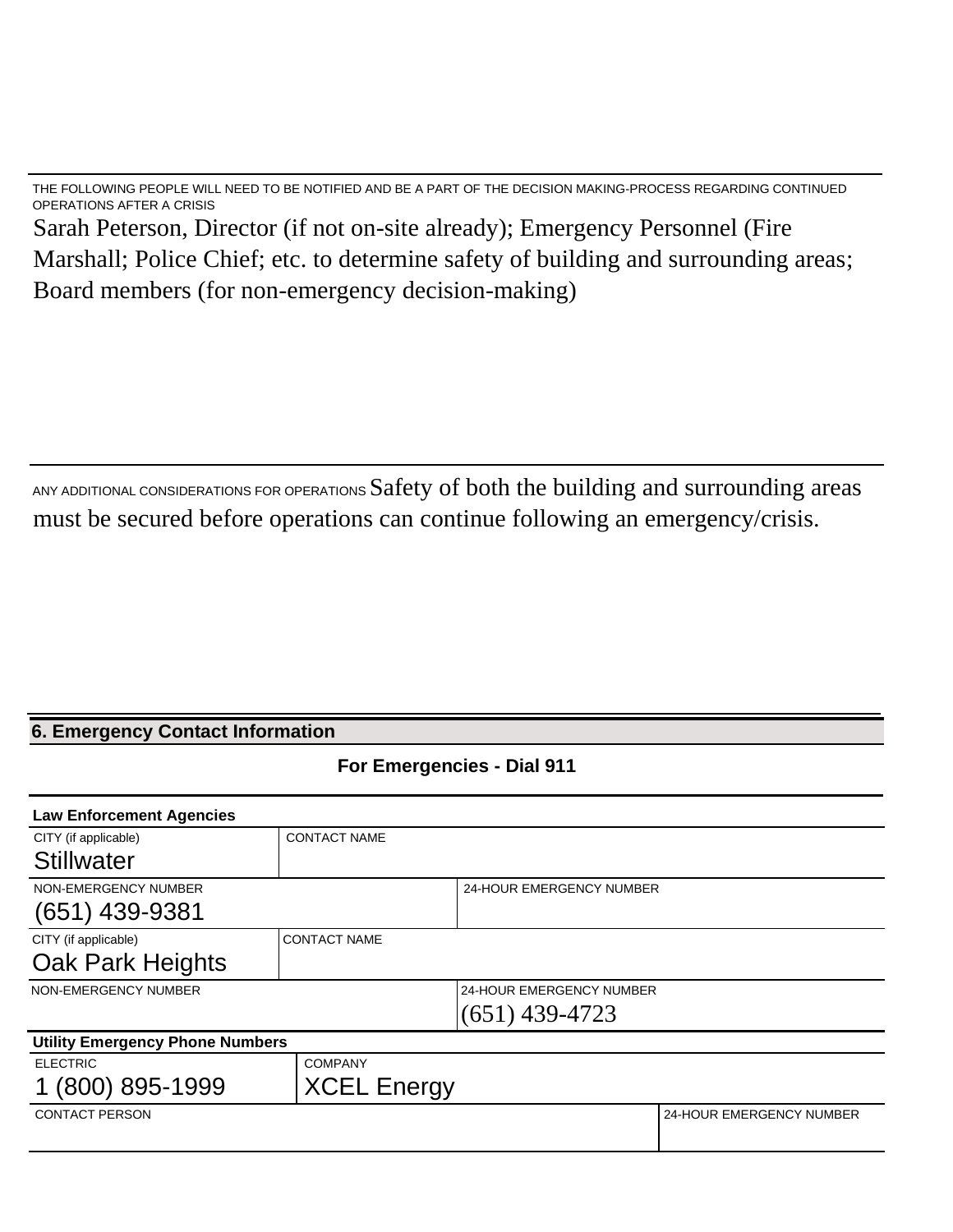THE FOLLOWING PEOPLE WILL NEED TO BE NOTIFIED AND BE A PART OF THE DECISION MAKING-PROCESS REGARDING CONTINUED OPERATIONS AFTER A CRISIS Sarah Peterson, Director (if not on-site already); Emergency Personnel (Fire Marshall; Police Chief; etc. to determine safety of building and surrounding areas; Board members (for non-emergency decision-making)

ANY ADDITIONAL CONSIDERATIONS FOR OPERATIONS Safety of both the building and surrounding areas must be secured before operations can continue following an emergency/crisis.

# **6. Emergency Contact Information**

**For Emergencies - Dial 911**

| <b>Law Enforcement Agencies</b>        |                     |                                 |                          |  |
|----------------------------------------|---------------------|---------------------------------|--------------------------|--|
| CITY (if applicable)                   | <b>CONTACT NAME</b> |                                 |                          |  |
| <b>Stillwater</b>                      |                     |                                 |                          |  |
| NON-EMERGENCY NUMBER                   |                     | 24-HOUR EMERGENCY NUMBER        |                          |  |
| $(651)$ 439-9381                       |                     |                                 |                          |  |
| CITY (if applicable)                   | <b>CONTACT NAME</b> |                                 |                          |  |
| Oak Park Heights                       |                     |                                 |                          |  |
| NON-EMERGENCY NUMBER                   |                     | <b>24-HOUR EMERGENCY NUMBER</b> |                          |  |
|                                        |                     | $(651)$ 439-4723                |                          |  |
| <b>Utility Emergency Phone Numbers</b> |                     |                                 |                          |  |
| <b>ELECTRIC</b>                        | <b>COMPANY</b>      |                                 |                          |  |
| (800) 895-1999                         | <b>XCEL Energy</b>  |                                 |                          |  |
| <b>CONTACT PERSON</b>                  |                     |                                 | 24-HOUR EMERGENCY NUMBER |  |
|                                        |                     |                                 |                          |  |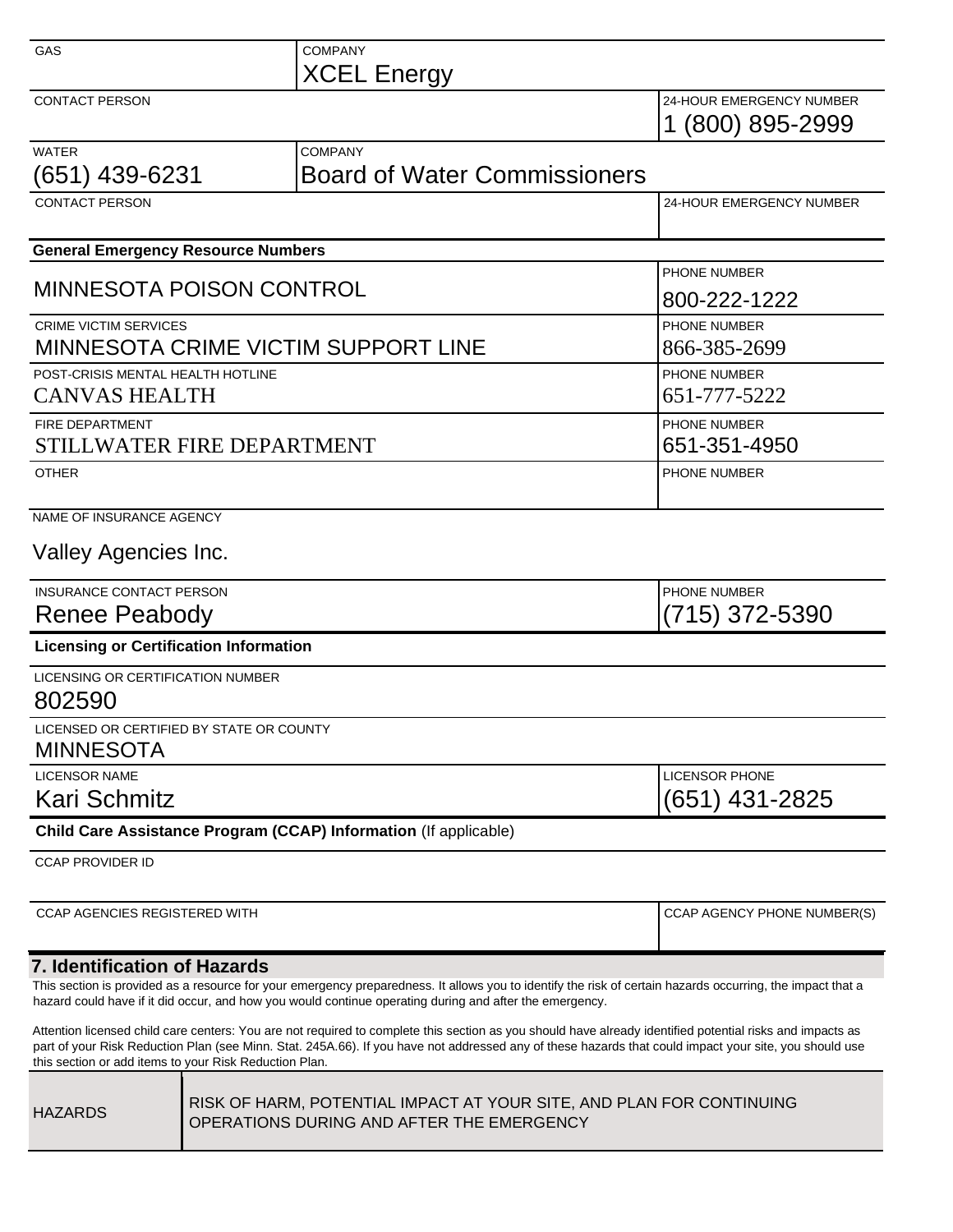| GAS                                                          | <b>COMPANY</b>                                                   |                                              |
|--------------------------------------------------------------|------------------------------------------------------------------|----------------------------------------------|
|                                                              | <b>XCEL Energy</b>                                               |                                              |
| <b>CONTACT PERSON</b>                                        |                                                                  | 24-HOUR EMERGENCY NUMBER<br>1 (800) 895-2999 |
| <b>WATER</b><br>(651) 439-6231                               | <b>COMPANY</b><br><b>Board of Water Commissioners</b>            |                                              |
| <b>CONTACT PERSON</b>                                        |                                                                  | 24-HOUR EMERGENCY NUMBER                     |
| <b>General Emergency Resource Numbers</b>                    |                                                                  |                                              |
| <b>MINNESOTA POISON CONTROL</b>                              |                                                                  | PHONE NUMBER<br>800-222-1222                 |
| <b>CRIME VICTIM SERVICES</b>                                 | MINNESOTA CRIME VICTIM SUPPORT LINE                              | PHONE NUMBER<br>866-385-2699                 |
| POST-CRISIS MENTAL HEALTH HOTLINE<br><b>CANVAS HEALTH</b>    |                                                                  | PHONE NUMBER<br>651-777-5222                 |
| <b>FIRE DEPARTMENT</b><br>STILLWATER FIRE DEPARTMENT         |                                                                  | PHONE NUMBER<br>651-351-4950                 |
| <b>OTHER</b>                                                 | PHONE NUMBER                                                     |                                              |
| NAME OF INSURANCE AGENCY                                     |                                                                  |                                              |
| Valley Agencies Inc.                                         |                                                                  |                                              |
| INSURANCE CONTACT PERSON<br>Renee Peabody                    |                                                                  | PHONE NUMBER<br>(715) 372-5390               |
| <b>Licensing or Certification Information</b>                |                                                                  |                                              |
| LICENSING OR CERTIFICATION NUMBER<br>802590                  |                                                                  |                                              |
| LICENSED OR CERTIFIED BY STATE OR COUNTY<br><b>MINNESOTA</b> |                                                                  |                                              |
| <b>LICENSOR NAME</b><br>Kari Schmitz                         | <b>LICENSOR PHONE</b><br>$(651)$ 431-2825                        |                                              |
|                                                              | Child Care Assistance Program (CCAP) Information (If applicable) |                                              |
| <b>CCAP PROVIDER ID</b>                                      |                                                                  |                                              |
| <b>CCAP AGENCIES REGISTERED WITH</b>                         |                                                                  | CCAP AGENCY PHONE NUMBER(S)                  |
| 7. Identification of Hazards                                 |                                                                  |                                              |

This section is provided as a resource for your emergency preparedness. It allows you to identify the risk of certain hazards occurring, the impact that a hazard could have if it did occur, and how you would continue operating during and after the emergency.

Attention licensed child care centers: You are not required to complete this section as you should have already identified potential risks and impacts as part of your Risk Reduction Plan (see Minn. Stat. 245A.66). If you have not addressed any of these hazards that could impact your site, you should use this section or add items to your Risk Reduction Plan.

| <b>HAZARDS</b> | RISK OF HARM, POTENTIAL IMPACT AT YOUR SITE, AND PLAN FOR CONTINUING<br>OPERATIONS DURING AND AFTER THE EMERGENCY |
|----------------|-------------------------------------------------------------------------------------------------------------------|
|----------------|-------------------------------------------------------------------------------------------------------------------|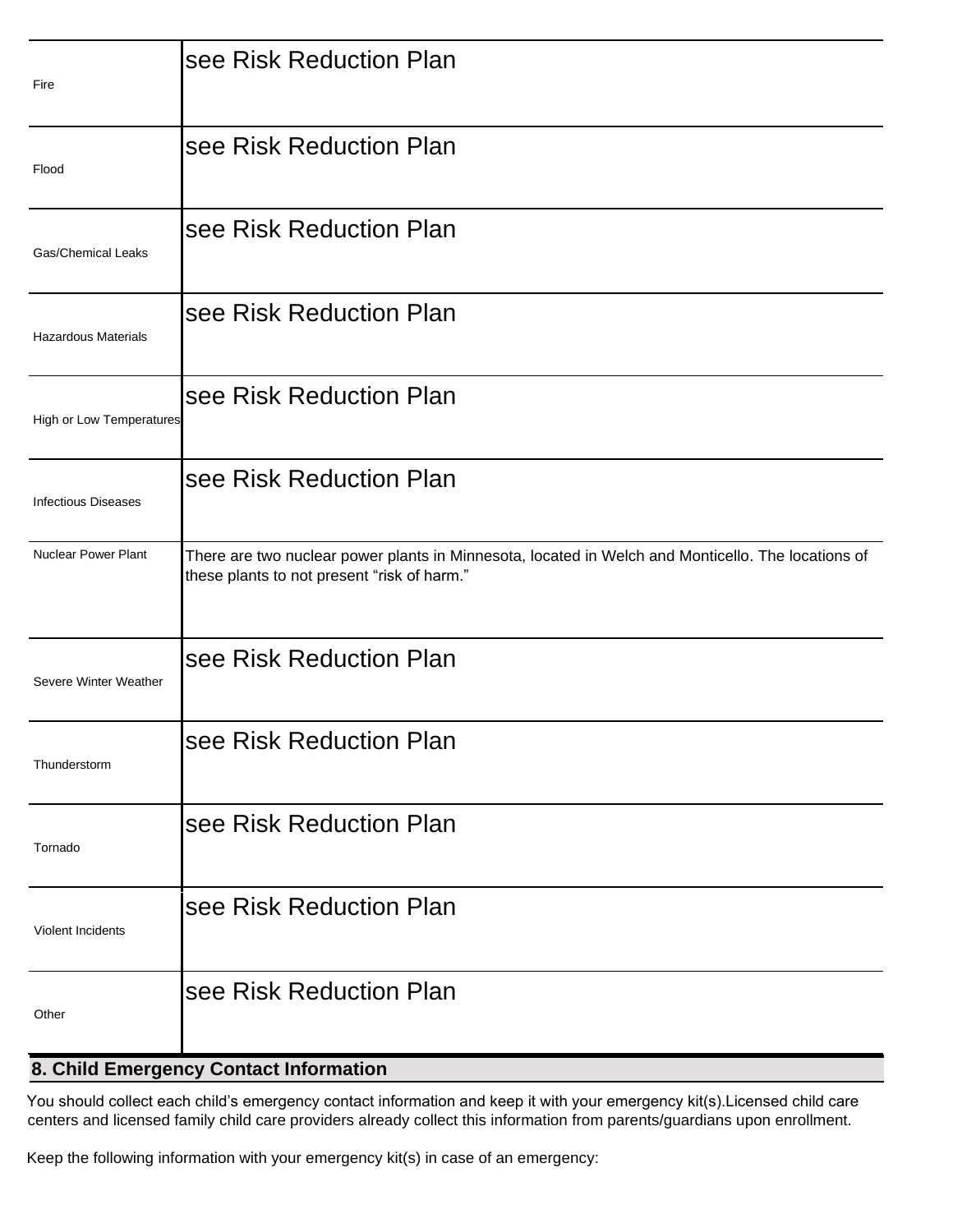| Fire                            | see Risk Reduction Plan                                                                                                                           |
|---------------------------------|---------------------------------------------------------------------------------------------------------------------------------------------------|
| Flood                           | see Risk Reduction Plan                                                                                                                           |
| <b>Gas/Chemical Leaks</b>       | see Risk Reduction Plan                                                                                                                           |
| <b>Hazardous Materials</b>      | see Risk Reduction Plan                                                                                                                           |
| <b>High or Low Temperatures</b> | see Risk Reduction Plan                                                                                                                           |
| <b>Infectious Diseases</b>      | see Risk Reduction Plan                                                                                                                           |
| <b>Nuclear Power Plant</b>      | There are two nuclear power plants in Minnesota, located in Welch and Monticello. The locations of<br>these plants to not present "risk of harm." |
| Severe Winter Weather           | see Risk Reduction Plan                                                                                                                           |
| Thunderstorm                    | see Risk Reduction Plan                                                                                                                           |
| Tornado                         | see Risk Reduction Plan                                                                                                                           |
| Violent Incidents               | see Risk Reduction Plan                                                                                                                           |
| Other                           | see Risk Reduction Plan                                                                                                                           |

## **8. Child Emergency Contact Information**

You should collect each child's emergency contact information and keep it with your emergency kit(s).Licensed child care centers and licensed family child care providers already collect this information from parents/guardians upon enrollment.

Keep the following information with your emergency kit(s) in case of an emergency: